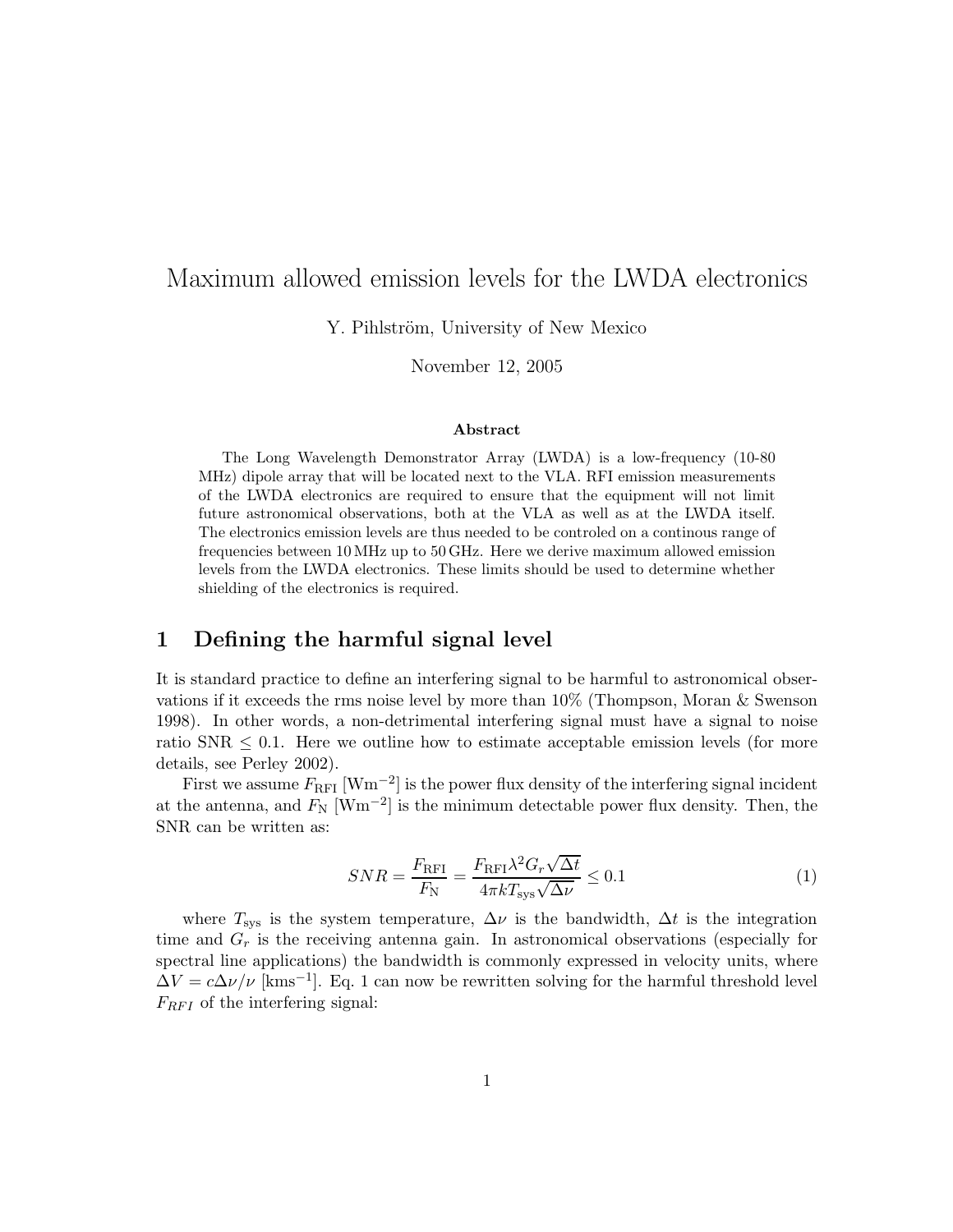# Maximum allowed emission levels for the LWDA electronics

Y. Pihlström, University of New Mexico

November 12, 2005

#### Abstract

The Long Wavelength Demonstrator Array (LWDA) is a low-frequency (10-80 MHz) dipole array that will be located next to the VLA. RFI emission measurements of the LWDA electronics are required to ensure that the equipment will not limit future astronomical observations, both at the VLA as well as at the LWDA itself. The electronics emission levels are thus needed to be controled on a continous range of frequencies between 10 MHz up to 50 GHz. Here we derive maximum allowed emission levels from the LWDA electronics. These limits should be used to determine whether shielding of the electronics is required.

### 1 Defining the harmful signal level

It is standard practice to define an interfering signal to be harmful to astronomical observations if it exceeds the rms noise level by more than 10% (Thompson, Moran & Swenson 1998). In other words, a non-detrimental interfering signal must have a signal to noise ratio SNR  $\leq 0.1$ . Here we outline how to estimate acceptable emission levels (for more details, see Perley 2002).

First we assume  $F_{\rm RFI}$  [Wm<sup>-2</sup>] is the power flux density of the interfering signal incident at the antenna, and  $F_N$  [Wm<sup>-2</sup>] is the minimum detectable power flux density. Then, the SNR can be written as:

$$
SNR = \frac{F_{\rm RFI}}{F_{\rm N}} = \frac{F_{\rm RFI} \lambda^2 G_r \sqrt{\Delta t}}{4\pi k T_{\rm sys} \sqrt{\Delta \nu}} \le 0.1\tag{1}
$$

where  $T_{sys}$  is the system temperature,  $\Delta \nu$  is the bandwidth,  $\Delta t$  is the integration time and  $G_r$  is the receiving antenna gain. In astronomical observations (especially for spectral line applications) the bandwidth is commonly expressed in velocity units, where  $\Delta V = c \Delta \nu / \nu$  [kms<sup>-1</sup>]. Eq. 1 can now be rewritten solving for the harmful threshold level  $F_{RFI}$  of the interfering signal: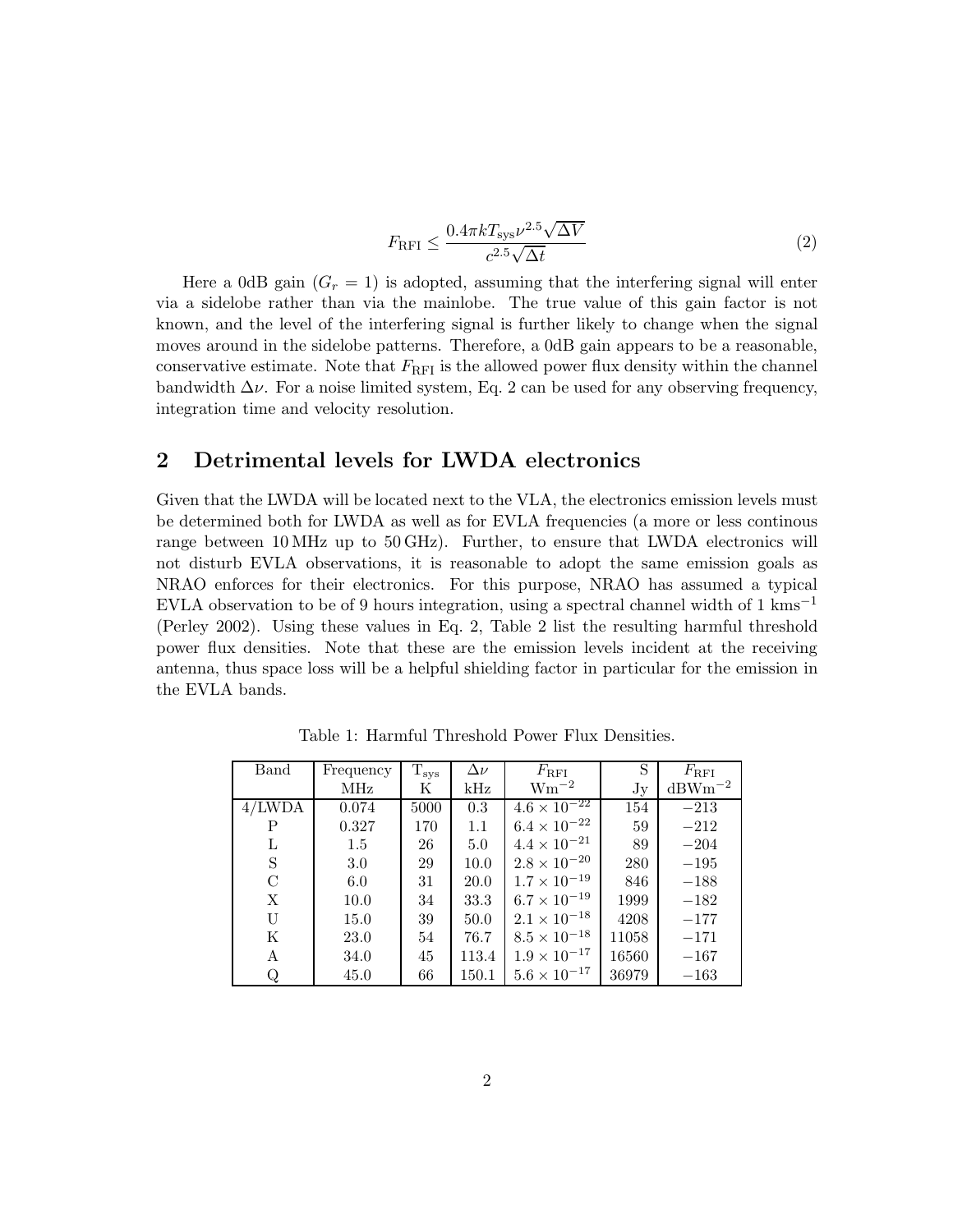$$
F_{\rm{RFI}} \le \frac{0.4\pi k T_{\rm{sys}} \nu^{2.5} \sqrt{\Delta V}}{c^{2.5} \sqrt{\Delta t}}
$$
\n
$$
\tag{2}
$$

Here a 0dB gain  $(G_r = 1)$  is adopted, assuming that the interfering signal will enter via a sidelobe rather than via the mainlobe. The true value of this gain factor is not known, and the level of the interfering signal is further likely to change when the signal moves around in the sidelobe patterns. Therefore, a 0dB gain appears to be a reasonable, conservative estimate. Note that  $F_{\text{RFI}}$  is the allowed power flux density within the channel bandwidth  $\Delta \nu$ . For a noise limited system, Eq. 2 can be used for any observing frequency, integration time and velocity resolution.

#### 2 Detrimental levels for LWDA electronics

Given that the LWDA will be located next to the VLA, the electronics emission levels must be determined both for LWDA as well as for EVLA frequencies (a more or less continous range between 10 MHz up to 50 GHz). Further, to ensure that LWDA electronics will not disturb EVLA observations, it is reasonable to adopt the same emission goals as NRAO enforces for their electronics. For this purpose, NRAO has assumed a typical EVLA observation to be of 9 hours integration, using a spectral channel width of 1 kms<sup>-1</sup> (Perley 2002). Using these values in Eq. 2, Table 2 list the resulting harmful threshold power flux densities. Note that these are the emission levels incident at the receiving antenna, thus space loss will be a helpful shielding factor in particular for the emission in the EVLA bands.

| Band     | Frequency | $T_{sys}$ | $\Delta \nu$   | $F_{\rm{RFI}}$                   | S     | $F_{\rm{RFI}}$ |
|----------|-----------|-----------|----------------|----------------------------------|-------|----------------|
|          | MHz       | Κ         | $\mathrm{kHz}$ | $Wm^{-2}$                        | Jy    | $dBWm^{-2}$    |
| 4/LWDA   | 0.074     | 5000      | 0.3            | $4.6 \times \overline{10^{-22}}$ | 154   | $-213$         |
| P        | 0.327     | 170       | 1.1            | $6.4 \times 10^{-22}$            | 59    | $-212$         |
| L        | $1.5\,$   | 26        | 5.0            | $4.4 \times 10^{-21}$            | 89    | $-204$         |
| S        | 3.0       | 29        | 10.0           | $2.8 \times 10^{-20}$            | 280   | $-195$         |
| $\rm _C$ | 6.0       | 31        | 20.0           | $1.7 \times 10^{-19}$            | 846   | $-188$         |
| X        | 10.0      | 34        | 33.3           | $6.7 \times 10^{-19}$            | 1999  | $-182$         |
| U        | 15.0      | 39        | 50.0           | $2.1 \times 10^{-18}$            | 4208  | $-177$         |
| K        | 23.0      | 54        | 76.7           | $8.5 \times 10^{-18}$            | 11058 | $-171$         |
| A        | 34.0      | 45        | 113.4          | $1.9 \times 10^{-17}$            | 16560 | $-167$         |
| Q        | 45.0      | 66        | 150.1          | $5.6 \times 10^{-17}$            | 36979 | $-163$         |

Table 1: Harmful Threshold Power Flux Densities.